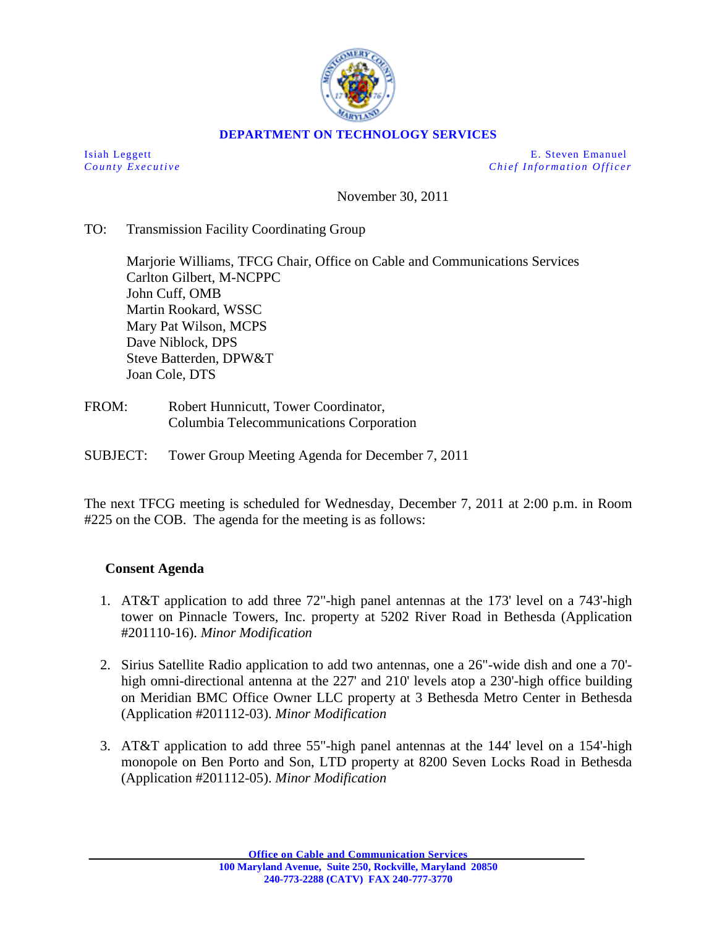

### **DEPARTMENT ON TECHNOLOGY SERVICES**

Isiah Leggett E. Steven Emanuel *County Executive Chief Information O fficer*

November 30, 2011

### TO: Transmission Facility Coordinating Group

Marjorie Williams, TFCG Chair, Office on Cable and Communications Services Carlton Gilbert, M-NCPPC John Cuff, OMB Martin Rookard, WSSC Mary Pat Wilson, MCPS Dave Niblock, DPS Steve Batterden, DPW&T Joan Cole, DTS

- FROM: Robert Hunnicutt, Tower Coordinator, Columbia Telecommunications Corporation
- SUBJECT: Tower Group Meeting Agenda for December 7, 2011

The next TFCG meeting is scheduled for Wednesday, December 7, 2011 at 2:00 p.m. in Room #225 on the COB. The agenda for the meeting is as follows:

#### **Consent Agenda**

- 1. AT&T application to add three 72"-high panel antennas at the 173' level on a 743'-high tower on Pinnacle Towers, Inc. property at 5202 River Road in Bethesda (Application #201110-16). *Minor Modification*
- 2. Sirius Satellite Radio application to add two antennas, one a 26"-wide dish and one a 70' high omni-directional antenna at the 227' and 210' levels atop a 230'-high office building on Meridian BMC Office Owner LLC property at 3 Bethesda Metro Center in Bethesda (Application #201112-03). *Minor Modification*
- 3. AT&T application to add three 55"-high panel antennas at the 144' level on a 154'-high monopole on Ben Porto and Son, LTD property at 8200 Seven Locks Road in Bethesda (Application #201112-05). *Minor Modification*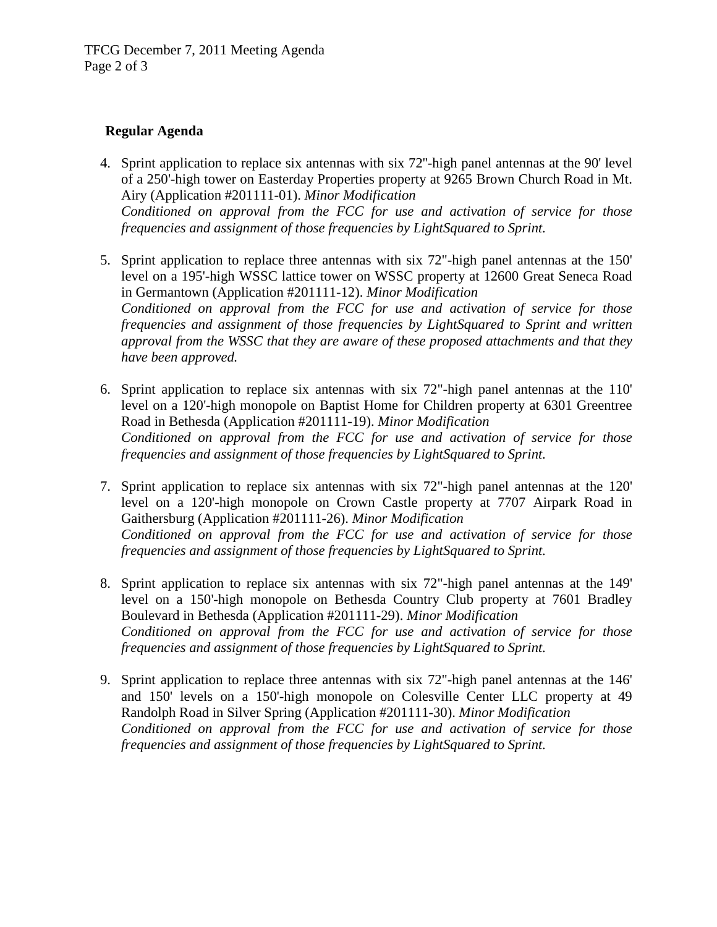## **Regular Agenda**

- 4. Sprint application to replace six antennas with six 72''-high panel antennas at the 90' level of a 250'-high tower on Easterday Properties property at 9265 Brown Church Road in Mt. Airy (Application #201111-01). *Minor Modification Conditioned on approval from the FCC for use and activation of service for those frequencies and assignment of those frequencies by LightSquared to Sprint.*
- 5. Sprint application to replace three antennas with six 72"-high panel antennas at the 150' level on a 195'-high WSSC lattice tower on WSSC property at 12600 Great Seneca Road in Germantown (Application #201111-12). *Minor Modification Conditioned on approval from the FCC for use and activation of service for those frequencies and assignment of those frequencies by LightSquared to Sprint and written approval from the WSSC that they are aware of these proposed attachments and that they have been approved.*
- 6. Sprint application to replace six antennas with six 72"-high panel antennas at the 110' level on a 120'-high monopole on Baptist Home for Children property at 6301 Greentree Road in Bethesda (Application #201111-19). *Minor Modification Conditioned on approval from the FCC for use and activation of service for those frequencies and assignment of those frequencies by LightSquared to Sprint.*
- 7. Sprint application to replace six antennas with six 72"-high panel antennas at the 120' level on a 120'-high monopole on Crown Castle property at 7707 Airpark Road in Gaithersburg (Application #201111-26). *Minor Modification Conditioned on approval from the FCC for use and activation of service for those frequencies and assignment of those frequencies by LightSquared to Sprint.*
- 8. Sprint application to replace six antennas with six 72"-high panel antennas at the 149' level on a 150'-high monopole on Bethesda Country Club property at 7601 Bradley Boulevard in Bethesda (Application #201111-29). *Minor Modification Conditioned on approval from the FCC for use and activation of service for those frequencies and assignment of those frequencies by LightSquared to Sprint.*
- 9. Sprint application to replace three antennas with six 72"-high panel antennas at the 146' and 150' levels on a 150'-high monopole on Colesville Center LLC property at 49 Randolph Road in Silver Spring (Application #201111-30). *Minor Modification Conditioned on approval from the FCC for use and activation of service for those frequencies and assignment of those frequencies by LightSquared to Sprint.*